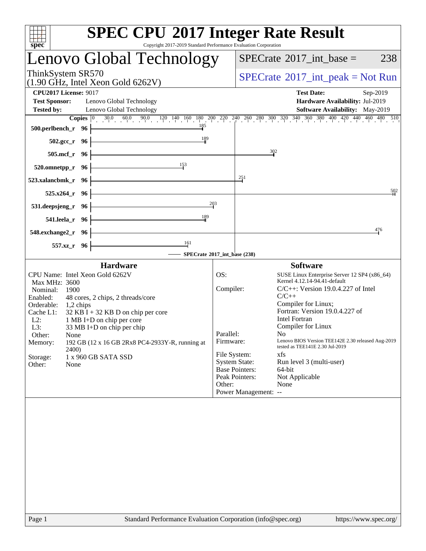| Lenovo Global Technology                                                                                                                                                                                                                                                                                                                                                                                                          |                                                                                                                                         |                                                   | $SPECrate^{\circ}2017\_int\_base =$                                                                                                                                                                                                                                                                                                                                                                                       |  | 238              |  |
|-----------------------------------------------------------------------------------------------------------------------------------------------------------------------------------------------------------------------------------------------------------------------------------------------------------------------------------------------------------------------------------------------------------------------------------|-----------------------------------------------------------------------------------------------------------------------------------------|---------------------------------------------------|---------------------------------------------------------------------------------------------------------------------------------------------------------------------------------------------------------------------------------------------------------------------------------------------------------------------------------------------------------------------------------------------------------------------------|--|------------------|--|
| ThinkSystem SR570<br>$(1.90$ GHz, Intel Xeon Gold 6262V)                                                                                                                                                                                                                                                                                                                                                                          |                                                                                                                                         | $SPECrate^{\circledast}2017\_int\_peak = Not Run$ |                                                                                                                                                                                                                                                                                                                                                                                                                           |  |                  |  |
| <b>CPU2017 License: 9017</b><br><b>Test Sponsor:</b><br>Lenovo Global Technology<br><b>Tested by:</b><br>Lenovo Global Technology                                                                                                                                                                                                                                                                                                 |                                                                                                                                         |                                                   | <b>Test Date:</b><br>Hardware Availability: Jul-2019<br>Software Availability: May-2019                                                                                                                                                                                                                                                                                                                                   |  | Sep-2019         |  |
| <b>Copies</b> $\begin{bmatrix} 0 & 30.0 & 60.0 & 90.0 & 120 & 140 & 160 & 180 & 200 & 220 & 240 & 260 & 300 & 320 & 340 & 360 & 380 & 400 & 420 & 440 & 460 & 480 & 510 \end{bmatrix}$<br>185<br>500.perlbench_r 96                                                                                                                                                                                                               |                                                                                                                                         |                                                   |                                                                                                                                                                                                                                                                                                                                                                                                                           |  |                  |  |
| 189<br>502.gcc_r 96                                                                                                                                                                                                                                                                                                                                                                                                               |                                                                                                                                         |                                                   |                                                                                                                                                                                                                                                                                                                                                                                                                           |  |                  |  |
| $505$ .mcf_r<br>- 96                                                                                                                                                                                                                                                                                                                                                                                                              |                                                                                                                                         | 302                                               |                                                                                                                                                                                                                                                                                                                                                                                                                           |  |                  |  |
| 153<br>520.omnetpp_r<br>- 96                                                                                                                                                                                                                                                                                                                                                                                                      |                                                                                                                                         |                                                   |                                                                                                                                                                                                                                                                                                                                                                                                                           |  |                  |  |
| 523.xalancbmk_r<br>- 96                                                                                                                                                                                                                                                                                                                                                                                                           | 251                                                                                                                                     |                                                   |                                                                                                                                                                                                                                                                                                                                                                                                                           |  |                  |  |
| 525.x264_r 96                                                                                                                                                                                                                                                                                                                                                                                                                     |                                                                                                                                         |                                                   |                                                                                                                                                                                                                                                                                                                                                                                                                           |  | $\frac{502}{50}$ |  |
| 531.deepsjeng_r<br>- 96                                                                                                                                                                                                                                                                                                                                                                                                           | 203                                                                                                                                     |                                                   |                                                                                                                                                                                                                                                                                                                                                                                                                           |  |                  |  |
| 189<br>541.leela_r 96                                                                                                                                                                                                                                                                                                                                                                                                             |                                                                                                                                         |                                                   |                                                                                                                                                                                                                                                                                                                                                                                                                           |  |                  |  |
| 548.exchange2_r 96                                                                                                                                                                                                                                                                                                                                                                                                                |                                                                                                                                         |                                                   |                                                                                                                                                                                                                                                                                                                                                                                                                           |  | 476              |  |
| $\frac{161}{1}$<br>557.xz_r 96<br>- SPECrate®2017_int_base (238)                                                                                                                                                                                                                                                                                                                                                                  |                                                                                                                                         |                                                   |                                                                                                                                                                                                                                                                                                                                                                                                                           |  |                  |  |
| <b>Hardware</b>                                                                                                                                                                                                                                                                                                                                                                                                                   |                                                                                                                                         |                                                   | <b>Software</b>                                                                                                                                                                                                                                                                                                                                                                                                           |  |                  |  |
| CPU Name: Intel Xeon Gold 6262V<br>Max MHz: 3600<br>Nominal:<br>1900<br>Enabled:<br>48 cores, 2 chips, 2 threads/core<br>Orderable:<br>$1,2$ chips<br>$32$ KB I + 32 KB D on chip per core<br>Cache L1:<br>$L2$ :<br>1 MB I+D on chip per core<br>L3:<br>33 MB I+D on chip per chip<br>Other:<br>None<br>Memory:<br>192 GB (12 x 16 GB 2Rx8 PC4-2933Y-R, running at<br>2400)<br>1 x 960 GB SATA SSD<br>Storage:<br>Other:<br>None | OS:<br>Compiler:<br>Parallel:<br>Firmware:<br>File System:<br><b>System State:</b><br><b>Base Pointers:</b><br>Peak Pointers:<br>Other: | Power Management: --                              | SUSE Linux Enterprise Server 12 SP4 (x86_64)<br>Kernel 4.12.14-94.41-default<br>$C/C++$ : Version 19.0.4.227 of Intel<br>$C/C++$<br>Compiler for Linux;<br>Fortran: Version 19.0.4.227 of<br><b>Intel Fortran</b><br>Compiler for Linux<br>N <sub>0</sub><br>Lenovo BIOS Version TEE142E 2.30 released Aug-2019<br>tested as TEE141E 2.30 Jul-2019<br>xfs<br>Run level 3 (multi-user)<br>64-bit<br>Not Applicable<br>None |  |                  |  |
|                                                                                                                                                                                                                                                                                                                                                                                                                                   |                                                                                                                                         |                                                   |                                                                                                                                                                                                                                                                                                                                                                                                                           |  |                  |  |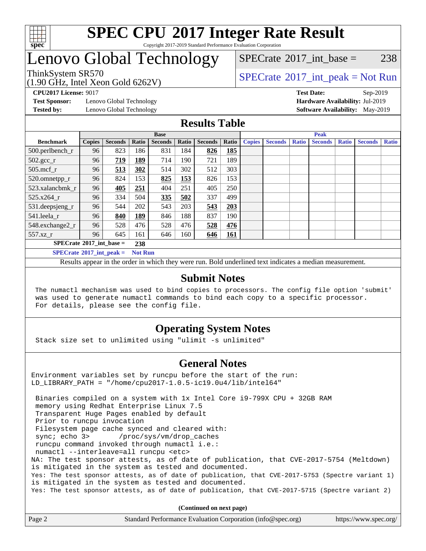

#### **[SPEC CPU](http://www.spec.org/auto/cpu2017/Docs/result-fields.html#SPECCPU2017IntegerRateResult)[2017 Integer Rate Result](http://www.spec.org/auto/cpu2017/Docs/result-fields.html#SPECCPU2017IntegerRateResult)** Copyright 2017-2019 Standard Performance Evaluation Corporation

## Lenovo Global Technology

### [SPECrate](http://www.spec.org/auto/cpu2017/Docs/result-fields.html#SPECrate2017intbase)<sup>®</sup>2017 int base = 238

(1.90 GHz, Intel Xeon Gold 6262V)

ThinkSystem SR570<br>  $\begin{array}{c}\n\text{SPECTR}_{12} \text{I} & \text{SPECTR}_{201} \\
\text{SPECTR}_{31} & \text{SPECTR}_{321}\n\end{array}$ 

**[Test Sponsor:](http://www.spec.org/auto/cpu2017/Docs/result-fields.html#TestSponsor)** Lenovo Global Technology **[Hardware Availability:](http://www.spec.org/auto/cpu2017/Docs/result-fields.html#HardwareAvailability)** Jul-2019

**[CPU2017 License:](http://www.spec.org/auto/cpu2017/Docs/result-fields.html#CPU2017License)** 9017 **[Test Date:](http://www.spec.org/auto/cpu2017/Docs/result-fields.html#TestDate)** Sep-2019 **[Tested by:](http://www.spec.org/auto/cpu2017/Docs/result-fields.html#Testedby)** Lenovo Global Technology **[Software Availability:](http://www.spec.org/auto/cpu2017/Docs/result-fields.html#SoftwareAvailability)** May-2019

#### **[Results Table](http://www.spec.org/auto/cpu2017/Docs/result-fields.html#ResultsTable)**

|                                                       | <b>Base</b>   |                |            |                |       | <b>Peak</b>    |            |               |                |       |                |              |                |              |
|-------------------------------------------------------|---------------|----------------|------------|----------------|-------|----------------|------------|---------------|----------------|-------|----------------|--------------|----------------|--------------|
| <b>Benchmark</b>                                      | <b>Copies</b> | <b>Seconds</b> | Ratio      | <b>Seconds</b> | Ratio | <b>Seconds</b> | Ratio      | <b>Copies</b> | <b>Seconds</b> | Ratio | <b>Seconds</b> | <b>Ratio</b> | <b>Seconds</b> | <b>Ratio</b> |
| 500.perlbench_r                                       | 96            | 823            | 186        | 831            | 184   | 826            | <b>185</b> |               |                |       |                |              |                |              |
| $502.\text{gcc}_r$                                    | 96            | 719            | 189        | 714            | 190   | 721            | 189        |               |                |       |                |              |                |              |
| $505$ .mcf r                                          | 96            | 513            | 302        | 514            | 302   | 512            | 303        |               |                |       |                |              |                |              |
| 520.omnetpp_r                                         | 96            | 824            | 153        | 825            | 153   | 826            | 153        |               |                |       |                |              |                |              |
| 523.xalancbmk_r                                       | 96            | 405            | 251        | 404            | 251   | 405            | 250        |               |                |       |                |              |                |              |
| 525.x264 r                                            | 96            | 334            | 504        | 335            | 502   | 337            | 499        |               |                |       |                |              |                |              |
| 531.deepsjeng_r                                       | 96            | 544            | 202        | 543            | 203   | 543            | 203        |               |                |       |                |              |                |              |
| 541.leela r                                           | 96            | 840            | <u>189</u> | 846            | 188   | 837            | 190        |               |                |       |                |              |                |              |
| 548.exchange2_r                                       | 96            | 528            | 476        | 528            | 476   | 528            | 476        |               |                |       |                |              |                |              |
| 557.xz                                                | 96            | 645            | 161        | 646            | 160   | 646            | <b>161</b> |               |                |       |                |              |                |              |
| $SPECrate^{\circ}2017$ int base =<br>238              |               |                |            |                |       |                |            |               |                |       |                |              |                |              |
| $SPECrate^{\circ}2017\_int\_peak =$<br><b>Not Run</b> |               |                |            |                |       |                |            |               |                |       |                |              |                |              |

Results appear in the [order in which they were run](http://www.spec.org/auto/cpu2017/Docs/result-fields.html#RunOrder). Bold underlined text [indicates a median measurement](http://www.spec.org/auto/cpu2017/Docs/result-fields.html#Median).

#### **[Submit Notes](http://www.spec.org/auto/cpu2017/Docs/result-fields.html#SubmitNotes)**

 The numactl mechanism was used to bind copies to processors. The config file option 'submit' was used to generate numactl commands to bind each copy to a specific processor. For details, please see the config file.

### **[Operating System Notes](http://www.spec.org/auto/cpu2017/Docs/result-fields.html#OperatingSystemNotes)**

Stack size set to unlimited using "ulimit -s unlimited"

#### **[General Notes](http://www.spec.org/auto/cpu2017/Docs/result-fields.html#GeneralNotes)**

Environment variables set by runcpu before the start of the run: LD\_LIBRARY\_PATH = "/home/cpu2017-1.0.5-ic19.0u4/lib/intel64"

 Binaries compiled on a system with 1x Intel Core i9-799X CPU + 32GB RAM memory using Redhat Enterprise Linux 7.5 Transparent Huge Pages enabled by default Prior to runcpu invocation Filesystem page cache synced and cleared with: sync; echo 3> /proc/sys/vm/drop\_caches runcpu command invoked through numactl i.e.: numactl --interleave=all runcpu <etc> NA: The test sponsor attests, as of date of publication, that CVE-2017-5754 (Meltdown) is mitigated in the system as tested and documented. Yes: The test sponsor attests, as of date of publication, that CVE-2017-5753 (Spectre variant 1) is mitigated in the system as tested and documented. Yes: The test sponsor attests, as of date of publication, that CVE-2017-5715 (Spectre variant 2)

**(Continued on next page)**

| Page 2 | Standard Performance Evaluation Corporation (info@spec.org) | https://www.spec.org/ |
|--------|-------------------------------------------------------------|-----------------------|
|--------|-------------------------------------------------------------|-----------------------|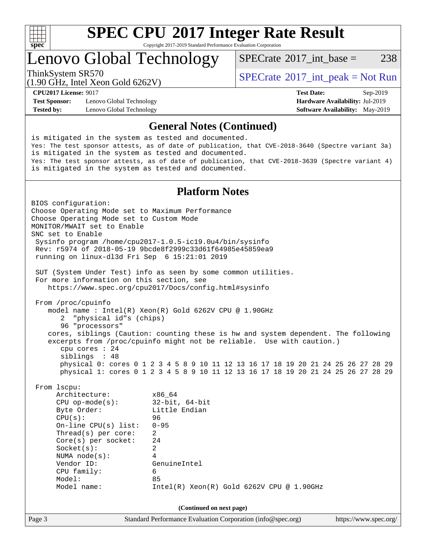

Copyright 2017-2019 Standard Performance Evaluation Corporation

### Lenovo Global Technology

[SPECrate](http://www.spec.org/auto/cpu2017/Docs/result-fields.html#SPECrate2017intbase)<sup>®</sup>2017 int base = 238

(1.90 GHz, Intel Xeon Gold 6262V)

ThinkSystem SR570<br>  $SPECTR_{100}$  [SPECrate](http://www.spec.org/auto/cpu2017/Docs/result-fields.html#SPECrate2017intpeak)®[2017\\_int\\_peak = N](http://www.spec.org/auto/cpu2017/Docs/result-fields.html#SPECrate2017intpeak)ot Run

**[Test Sponsor:](http://www.spec.org/auto/cpu2017/Docs/result-fields.html#TestSponsor)** Lenovo Global Technology **[Hardware Availability:](http://www.spec.org/auto/cpu2017/Docs/result-fields.html#HardwareAvailability)** Jul-2019 **[Tested by:](http://www.spec.org/auto/cpu2017/Docs/result-fields.html#Testedby)** Lenovo Global Technology **[Software Availability:](http://www.spec.org/auto/cpu2017/Docs/result-fields.html#SoftwareAvailability)** May-2019

**[CPU2017 License:](http://www.spec.org/auto/cpu2017/Docs/result-fields.html#CPU2017License)** 9017 **[Test Date:](http://www.spec.org/auto/cpu2017/Docs/result-fields.html#TestDate)** Sep-2019

#### **[General Notes \(Continued\)](http://www.spec.org/auto/cpu2017/Docs/result-fields.html#GeneralNotes)**

is mitigated in the system as tested and documented. Yes: The test sponsor attests, as of date of publication, that CVE-2018-3640 (Spectre variant 3a) is mitigated in the system as tested and documented. Yes: The test sponsor attests, as of date of publication, that CVE-2018-3639 (Spectre variant 4) is mitigated in the system as tested and documented.

#### **[Platform Notes](http://www.spec.org/auto/cpu2017/Docs/result-fields.html#PlatformNotes)**

Page 3 Standard Performance Evaluation Corporation [\(info@spec.org\)](mailto:info@spec.org) <https://www.spec.org/> BIOS configuration: Choose Operating Mode set to Maximum Performance Choose Operating Mode set to Custom Mode MONITOR/MWAIT set to Enable SNC set to Enable Sysinfo program /home/cpu2017-1.0.5-ic19.0u4/bin/sysinfo Rev: r5974 of 2018-05-19 9bcde8f2999c33d61f64985e45859ea9 running on linux-dl3d Fri Sep 6 15:21:01 2019 SUT (System Under Test) info as seen by some common utilities. For more information on this section, see <https://www.spec.org/cpu2017/Docs/config.html#sysinfo> From /proc/cpuinfo model name : Intel(R) Xeon(R) Gold 6262V CPU @ 1.90GHz 2 "physical id"s (chips) 96 "processors" cores, siblings (Caution: counting these is hw and system dependent. The following excerpts from /proc/cpuinfo might not be reliable. Use with caution.) cpu cores : 24 siblings : 48 physical 0: cores 0 1 2 3 4 5 8 9 10 11 12 13 16 17 18 19 20 21 24 25 26 27 28 29 physical 1: cores 0 1 2 3 4 5 8 9 10 11 12 13 16 17 18 19 20 21 24 25 26 27 28 29 From lscpu: Architecture: x86\_64 CPU op-mode(s): 32-bit, 64-bit Byte Order: Little Endian CPU(s): 96 On-line CPU(s) list: 0-95 Thread(s) per core: 2 Core(s) per socket: 24 Socket(s): 2 NUMA node(s): 4 Vendor ID: GenuineIntel CPU family: 6 Model: 85 Model name: Intel(R) Xeon(R) Gold 6262V CPU @ 1.90GHz **(Continued on next page)**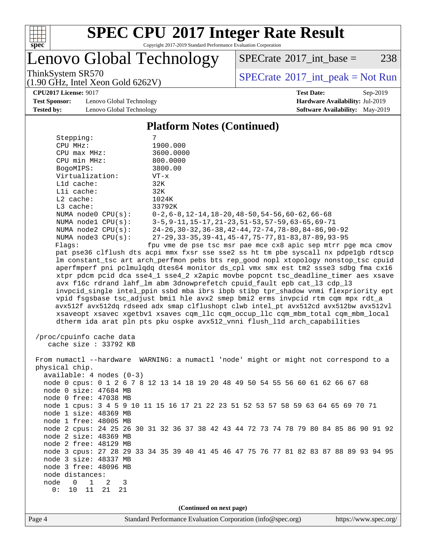

Copyright 2017-2019 Standard Performance Evaluation Corporation

enovo Global Technology

 $SPECTate@2017_int\_base = 238$ 

(1.90 GHz, Intel Xeon Gold 6262V)

ThinkSystem SR570<br>(1.90 GHz, Intel Xeon Gold 6262V) [SPECrate](http://www.spec.org/auto/cpu2017/Docs/result-fields.html#SPECrate2017intpeak)®[2017\\_int\\_peak = N](http://www.spec.org/auto/cpu2017/Docs/result-fields.html#SPECrate2017intpeak)ot Run

**[CPU2017 License:](http://www.spec.org/auto/cpu2017/Docs/result-fields.html#CPU2017License)** 9017 **[Test Date:](http://www.spec.org/auto/cpu2017/Docs/result-fields.html#TestDate)** Sep-2019

**[Test Sponsor:](http://www.spec.org/auto/cpu2017/Docs/result-fields.html#TestSponsor)** Lenovo Global Technology **[Hardware Availability:](http://www.spec.org/auto/cpu2017/Docs/result-fields.html#HardwareAvailability)** Jul-2019 **[Tested by:](http://www.spec.org/auto/cpu2017/Docs/result-fields.html#Testedby)** Lenovo Global Technology **[Software Availability:](http://www.spec.org/auto/cpu2017/Docs/result-fields.html#SoftwareAvailability)** May-2019

[Platform Notes \(Continued\)](http://www.spec.org/auto/cpu2017/Docs/result-fields.html#PlatformNotes)

|                                               | Tratform poles (Communeu)                                                            |  |  |  |  |  |  |  |
|-----------------------------------------------|--------------------------------------------------------------------------------------|--|--|--|--|--|--|--|
| Stepping:                                     | 7                                                                                    |  |  |  |  |  |  |  |
| CPU MHz:                                      | 1900.000                                                                             |  |  |  |  |  |  |  |
| CPU max MHz:                                  | 3600.0000                                                                            |  |  |  |  |  |  |  |
| CPU min MHz:                                  | 800.0000                                                                             |  |  |  |  |  |  |  |
| BogoMIPS:                                     | 3800.00                                                                              |  |  |  |  |  |  |  |
| Virtualization:                               | $VT - x$                                                                             |  |  |  |  |  |  |  |
| L1d cache:                                    | 32K                                                                                  |  |  |  |  |  |  |  |
| Lli cache:                                    | 32K                                                                                  |  |  |  |  |  |  |  |
| L2 cache:                                     | 1024K                                                                                |  |  |  |  |  |  |  |
| L3 cache:                                     | 33792K                                                                               |  |  |  |  |  |  |  |
| NUMA $node0$ $CPU(s)$ :                       | $0-2, 6-8, 12-14, 18-20, 48-50, 54-56, 60-62, 66-68$                                 |  |  |  |  |  |  |  |
| NUMA nodel CPU(s):                            | 3-5, 9-11, 15-17, 21-23, 51-53, 57-59, 63-65, 69-71                                  |  |  |  |  |  |  |  |
| NUMA $node2$ $CPU(s)$ :                       | 24-26, 30-32, 36-38, 42-44, 72-74, 78-80, 84-86, 90-92                               |  |  |  |  |  |  |  |
| NUMA node3 CPU(s):                            | 27-29, 33-35, 39-41, 45-47, 75-77, 81-83, 87-89, 93-95                               |  |  |  |  |  |  |  |
| Flagg:                                        | fpu vme de pse tsc msr pae mce cx8 apic sep mtrr pge mca cmov                        |  |  |  |  |  |  |  |
|                                               | pat pse36 clflush dts acpi mmx fxsr sse sse2 ss ht tm pbe syscall nx pdpelgb rdtscp  |  |  |  |  |  |  |  |
|                                               | lm constant_tsc art arch_perfmon pebs bts rep_good nopl xtopology nonstop_tsc cpuid  |  |  |  |  |  |  |  |
|                                               | aperfmperf pni pclmulqdq dtes64 monitor ds_cpl vmx smx est tm2 ssse3 sdbg fma cx16   |  |  |  |  |  |  |  |
|                                               | xtpr pdcm pcid dca sse4_1 sse4_2 x2apic movbe popcnt tsc_deadline_timer aes xsave    |  |  |  |  |  |  |  |
|                                               | avx f16c rdrand lahf_lm abm 3dnowprefetch cpuid_fault epb cat_13 cdp_13              |  |  |  |  |  |  |  |
|                                               | invpcid_single intel_ppin ssbd mba ibrs ibpb stibp tpr_shadow vnmi flexpriority ept  |  |  |  |  |  |  |  |
|                                               | vpid fsgsbase tsc_adjust bmil hle avx2 smep bmi2 erms invpcid rtm cqm mpx rdt_a      |  |  |  |  |  |  |  |
|                                               | avx512f avx512dq rdseed adx smap clflushopt clwb intel_pt avx512cd avx512bw avx512vl |  |  |  |  |  |  |  |
|                                               | xsaveopt xsavec xgetbvl xsaves cqm_llc cqm_occup_llc cqm_mbm_total cqm_mbm_local     |  |  |  |  |  |  |  |
|                                               | dtherm ida arat pln pts pku ospke avx512_vnni flush_lld arch_capabilities            |  |  |  |  |  |  |  |
|                                               |                                                                                      |  |  |  |  |  |  |  |
| /proc/cpuinfo cache data                      |                                                                                      |  |  |  |  |  |  |  |
| cache size : 33792 KB                         |                                                                                      |  |  |  |  |  |  |  |
|                                               |                                                                                      |  |  |  |  |  |  |  |
|                                               | From numactl --hardware WARNING: a numactl 'node' might or might not correspond to a |  |  |  |  |  |  |  |
| physical chip.                                |                                                                                      |  |  |  |  |  |  |  |
| $available: 4 nodes (0-3)$                    |                                                                                      |  |  |  |  |  |  |  |
|                                               | node 0 cpus: 0 1 2 6 7 8 12 13 14 18 19 20 48 49 50 54 55 56 60 61 62 66 67 68       |  |  |  |  |  |  |  |
| node 0 size: 47684 MB                         |                                                                                      |  |  |  |  |  |  |  |
| node 0 free: 47038 MB                         |                                                                                      |  |  |  |  |  |  |  |
|                                               | node 1 cpus: 3 4 5 9 10 11 15 16 17 21 22 23 51 52 53 57 58 59 63 64 65 69 70 71     |  |  |  |  |  |  |  |
| node 1 size: 48369 MB                         |                                                                                      |  |  |  |  |  |  |  |
| node 1 free: 48005 MB                         |                                                                                      |  |  |  |  |  |  |  |
|                                               | node 2 cpus: 24 25 26 30 31 32 36 37 38 42 43 44 72 73 74 78 79 80 84 85 86 90 91 92 |  |  |  |  |  |  |  |
| node 2 size: 48369 MB                         |                                                                                      |  |  |  |  |  |  |  |
| node 2 free: 48129 MB                         |                                                                                      |  |  |  |  |  |  |  |
|                                               | node 3 cpus: 27 28 29 33 34 35 39 40 41 45 46 47 75 76 77 81 82 83 87 88 89 93 94 95 |  |  |  |  |  |  |  |
| node 3 size: 48337 MB                         |                                                                                      |  |  |  |  |  |  |  |
| node 3 free: 48096 MB                         |                                                                                      |  |  |  |  |  |  |  |
| node distances:                               |                                                                                      |  |  |  |  |  |  |  |
|                                               |                                                                                      |  |  |  |  |  |  |  |
| node<br>$\mathsf{O}$<br>$\mathbf 1$<br>2<br>3 |                                                                                      |  |  |  |  |  |  |  |

**(Continued on next page)**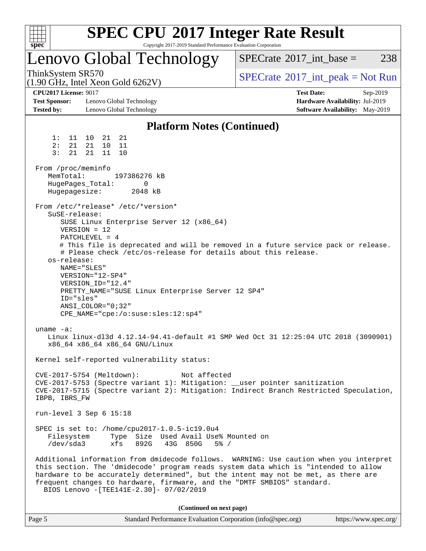

| Page 5 | Standard Performance Evaluation Corporation (info@spec.org) | https://www.spec.org/ |
|--------|-------------------------------------------------------------|-----------------------|
|--------|-------------------------------------------------------------|-----------------------|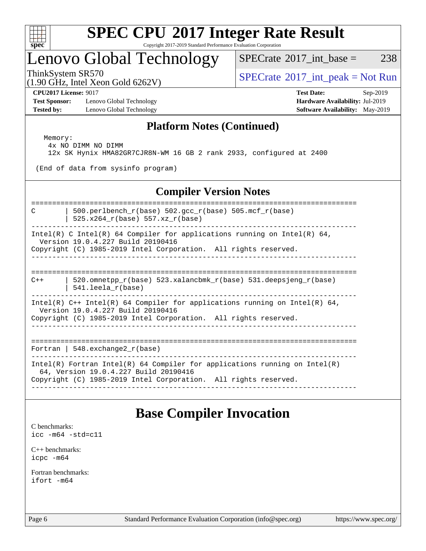

Copyright 2017-2019 Standard Performance Evaluation Corporation

### Lenovo Global Technology

 $SPECTate$ <sup>®</sup>[2017\\_int\\_base =](http://www.spec.org/auto/cpu2017/Docs/result-fields.html#SPECrate2017intbase) 238

(1.90 GHz, Intel Xeon Gold 6262V)

ThinkSystem SR570<br>  $\begin{array}{c}\n\text{SPECTR}_{12} \text{J} & \text{SPECTR}_{201} \\
\text{SPECTR}_{31} & \text{SPECTR}_{32} \\
\text{SPECTR}_{41} & \text{SISTR}_{42} \\
\text{SPECTR}_{51} & \text{SISTR}_{52} \\
\text{SPECTR}_{61} & \text{SISTR}_{61} \\
\text{SPECTR}_{62} & \text{SISTR}_{61} \\
\text{SPECTR}_{61} & \text{SISTR}_{62} \\
\text{SPECTR}_{61} & \text{SISTR}_{62} \\
\text{SPECTR}_{61} &$ 

**[Test Sponsor:](http://www.spec.org/auto/cpu2017/Docs/result-fields.html#TestSponsor)** Lenovo Global Technology **[Hardware Availability:](http://www.spec.org/auto/cpu2017/Docs/result-fields.html#HardwareAvailability)** Jul-2019 **[Tested by:](http://www.spec.org/auto/cpu2017/Docs/result-fields.html#Testedby)** Lenovo Global Technology **[Software Availability:](http://www.spec.org/auto/cpu2017/Docs/result-fields.html#SoftwareAvailability)** May-2019

**[CPU2017 License:](http://www.spec.org/auto/cpu2017/Docs/result-fields.html#CPU2017License)** 9017 **[Test Date:](http://www.spec.org/auto/cpu2017/Docs/result-fields.html#TestDate)** Sep-2019

#### **[Platform Notes \(Continued\)](http://www.spec.org/auto/cpu2017/Docs/result-fields.html#PlatformNotes)**

 Memory: 4x NO DIMM NO DIMM 12x SK Hynix HMA82GR7CJR8N-WM 16 GB 2 rank 2933, configured at 2400

(End of data from sysinfo program)

### **[Compiler Version Notes](http://www.spec.org/auto/cpu2017/Docs/result-fields.html#CompilerVersionNotes)**

------------------------------------------------------------------------------

------------------------------------------------------------------------------

============================================================================== C | 500.perlbench  $r(base)$  502.gcc  $r(base)$  505.mcf  $r(base)$ 

| 525.x264\_r(base) 557.xz\_r(base)

------------------------------------------------------------------------------ Intel(R) C Intel(R) 64 Compiler for applications running on Intel(R) 64, Version 19.0.4.227 Build 20190416

Copyright (C) 1985-2019 Intel Corporation. All rights reserved.

==============================================================================  $C++$  | 520.omnetpp  $r(base)$  523.xalancbmk  $r(base)$  531.deepsjeng  $r(base)$ | 541.leela\_r(base)

------------------------------------------------------------------------------

Intel(R)  $C++$  Intel(R) 64 Compiler for applications running on Intel(R) 64, Version 19.0.4.227 Build 20190416

Copyright (C) 1985-2019 Intel Corporation. All rights reserved.

============================================================================== Fortran | 548.exchange2 $r(base)$ 

------------------------------------------------------------------------------

Intel(R) Fortran Intel(R) 64 Compiler for applications running on Intel(R)

64, Version 19.0.4.227 Build 20190416

Copyright (C) 1985-2019 Intel Corporation. All rights reserved. ------------------------------------------------------------------------------

### **[Base Compiler Invocation](http://www.spec.org/auto/cpu2017/Docs/result-fields.html#BaseCompilerInvocation)**

[C benchmarks](http://www.spec.org/auto/cpu2017/Docs/result-fields.html#Cbenchmarks): [icc -m64 -std=c11](http://www.spec.org/cpu2017/results/res2019q4/cpu2017-20190916-18219.flags.html#user_CCbase_intel_icc_64bit_c11_33ee0cdaae7deeeab2a9725423ba97205ce30f63b9926c2519791662299b76a0318f32ddfffdc46587804de3178b4f9328c46fa7c2b0cd779d7a61945c91cd35)

[C++ benchmarks:](http://www.spec.org/auto/cpu2017/Docs/result-fields.html#CXXbenchmarks) [icpc -m64](http://www.spec.org/cpu2017/results/res2019q4/cpu2017-20190916-18219.flags.html#user_CXXbase_intel_icpc_64bit_4ecb2543ae3f1412ef961e0650ca070fec7b7afdcd6ed48761b84423119d1bf6bdf5cad15b44d48e7256388bc77273b966e5eb805aefd121eb22e9299b2ec9d9)

[Fortran benchmarks](http://www.spec.org/auto/cpu2017/Docs/result-fields.html#Fortranbenchmarks): [ifort -m64](http://www.spec.org/cpu2017/results/res2019q4/cpu2017-20190916-18219.flags.html#user_FCbase_intel_ifort_64bit_24f2bb282fbaeffd6157abe4f878425411749daecae9a33200eee2bee2fe76f3b89351d69a8130dd5949958ce389cf37ff59a95e7a40d588e8d3a57e0c3fd751)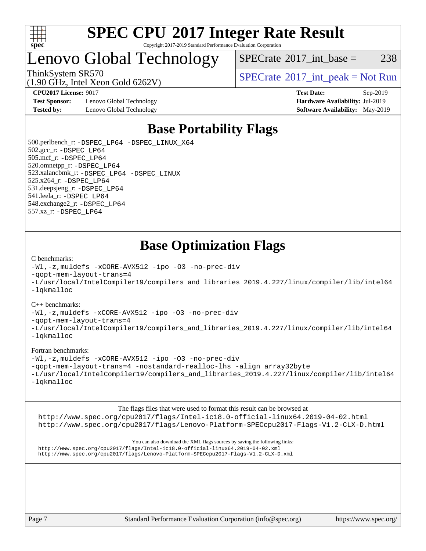

#### **[SPEC CPU](http://www.spec.org/auto/cpu2017/Docs/result-fields.html#SPECCPU2017IntegerRateResult)[2017 Integer Rate Result](http://www.spec.org/auto/cpu2017/Docs/result-fields.html#SPECCPU2017IntegerRateResult)** Copyright 2017-2019 Standard Performance Evaluation Corporation

### Lenovo Global Technology

 $SPECTate@2017\_int\_base = 238$ 

(1.90 GHz, Intel Xeon Gold 6262V)

**[Test Sponsor:](http://www.spec.org/auto/cpu2017/Docs/result-fields.html#TestSponsor)** Lenovo Global Technology **[Hardware Availability:](http://www.spec.org/auto/cpu2017/Docs/result-fields.html#HardwareAvailability)** Jul-2019 **[Tested by:](http://www.spec.org/auto/cpu2017/Docs/result-fields.html#Testedby)** Lenovo Global Technology **[Software Availability:](http://www.spec.org/auto/cpu2017/Docs/result-fields.html#SoftwareAvailability)** May-2019

ThinkSystem SR570<br>  $SPECTR_{100}$  [SPECrate](http://www.spec.org/auto/cpu2017/Docs/result-fields.html#SPECrate2017intpeak)®[2017\\_int\\_peak = N](http://www.spec.org/auto/cpu2017/Docs/result-fields.html#SPECrate2017intpeak)ot Run

**[CPU2017 License:](http://www.spec.org/auto/cpu2017/Docs/result-fields.html#CPU2017License)** 9017 **[Test Date:](http://www.spec.org/auto/cpu2017/Docs/result-fields.html#TestDate)** Sep-2019

### **[Base Portability Flags](http://www.spec.org/auto/cpu2017/Docs/result-fields.html#BasePortabilityFlags)**

 500.perlbench\_r: [-DSPEC\\_LP64](http://www.spec.org/cpu2017/results/res2019q4/cpu2017-20190916-18219.flags.html#b500.perlbench_r_basePORTABILITY_DSPEC_LP64) [-DSPEC\\_LINUX\\_X64](http://www.spec.org/cpu2017/results/res2019q4/cpu2017-20190916-18219.flags.html#b500.perlbench_r_baseCPORTABILITY_DSPEC_LINUX_X64) 502.gcc\_r: [-DSPEC\\_LP64](http://www.spec.org/cpu2017/results/res2019q4/cpu2017-20190916-18219.flags.html#suite_basePORTABILITY502_gcc_r_DSPEC_LP64) 505.mcf\_r: [-DSPEC\\_LP64](http://www.spec.org/cpu2017/results/res2019q4/cpu2017-20190916-18219.flags.html#suite_basePORTABILITY505_mcf_r_DSPEC_LP64) 520.omnetpp\_r: [-DSPEC\\_LP64](http://www.spec.org/cpu2017/results/res2019q4/cpu2017-20190916-18219.flags.html#suite_basePORTABILITY520_omnetpp_r_DSPEC_LP64) 523.xalancbmk\_r: [-DSPEC\\_LP64](http://www.spec.org/cpu2017/results/res2019q4/cpu2017-20190916-18219.flags.html#suite_basePORTABILITY523_xalancbmk_r_DSPEC_LP64) [-DSPEC\\_LINUX](http://www.spec.org/cpu2017/results/res2019q4/cpu2017-20190916-18219.flags.html#b523.xalancbmk_r_baseCXXPORTABILITY_DSPEC_LINUX) 525.x264\_r: [-DSPEC\\_LP64](http://www.spec.org/cpu2017/results/res2019q4/cpu2017-20190916-18219.flags.html#suite_basePORTABILITY525_x264_r_DSPEC_LP64) 531.deepsjeng\_r: [-DSPEC\\_LP64](http://www.spec.org/cpu2017/results/res2019q4/cpu2017-20190916-18219.flags.html#suite_basePORTABILITY531_deepsjeng_r_DSPEC_LP64) 541.leela\_r: [-DSPEC\\_LP64](http://www.spec.org/cpu2017/results/res2019q4/cpu2017-20190916-18219.flags.html#suite_basePORTABILITY541_leela_r_DSPEC_LP64) 548.exchange2\_r: [-DSPEC\\_LP64](http://www.spec.org/cpu2017/results/res2019q4/cpu2017-20190916-18219.flags.html#suite_basePORTABILITY548_exchange2_r_DSPEC_LP64) 557.xz\_r: [-DSPEC\\_LP64](http://www.spec.org/cpu2017/results/res2019q4/cpu2017-20190916-18219.flags.html#suite_basePORTABILITY557_xz_r_DSPEC_LP64)

### **[Base Optimization Flags](http://www.spec.org/auto/cpu2017/Docs/result-fields.html#BaseOptimizationFlags)**

#### [C benchmarks](http://www.spec.org/auto/cpu2017/Docs/result-fields.html#Cbenchmarks):

[-Wl,-z,muldefs](http://www.spec.org/cpu2017/results/res2019q4/cpu2017-20190916-18219.flags.html#user_CCbase_link_force_multiple1_b4cbdb97b34bdee9ceefcfe54f4c8ea74255f0b02a4b23e853cdb0e18eb4525ac79b5a88067c842dd0ee6996c24547a27a4b99331201badda8798ef8a743f577) [-xCORE-AVX512](http://www.spec.org/cpu2017/results/res2019q4/cpu2017-20190916-18219.flags.html#user_CCbase_f-xCORE-AVX512) [-ipo](http://www.spec.org/cpu2017/results/res2019q4/cpu2017-20190916-18219.flags.html#user_CCbase_f-ipo) [-O3](http://www.spec.org/cpu2017/results/res2019q4/cpu2017-20190916-18219.flags.html#user_CCbase_f-O3) [-no-prec-div](http://www.spec.org/cpu2017/results/res2019q4/cpu2017-20190916-18219.flags.html#user_CCbase_f-no-prec-div) [-qopt-mem-layout-trans=4](http://www.spec.org/cpu2017/results/res2019q4/cpu2017-20190916-18219.flags.html#user_CCbase_f-qopt-mem-layout-trans_fa39e755916c150a61361b7846f310bcdf6f04e385ef281cadf3647acec3f0ae266d1a1d22d972a7087a248fd4e6ca390a3634700869573d231a252c784941a8) [-L/usr/local/IntelCompiler19/compilers\\_and\\_libraries\\_2019.4.227/linux/compiler/lib/intel64](http://www.spec.org/cpu2017/results/res2019q4/cpu2017-20190916-18219.flags.html#user_CCbase_qkmalloc_link_0ffe0cb02c68ef1b443a077c7888c10c67ca0d1dd7138472156f06a085bbad385f78d49618ad55dca9db3b1608e84afc2f69b4003b1d1ca498a9fc1462ccefda) [-lqkmalloc](http://www.spec.org/cpu2017/results/res2019q4/cpu2017-20190916-18219.flags.html#user_CCbase_qkmalloc_link_lib_79a818439969f771c6bc311cfd333c00fc099dad35c030f5aab9dda831713d2015205805422f83de8875488a2991c0a156aaa600e1f9138f8fc37004abc96dc5)

#### [C++ benchmarks](http://www.spec.org/auto/cpu2017/Docs/result-fields.html#CXXbenchmarks):

[-Wl,-z,muldefs](http://www.spec.org/cpu2017/results/res2019q4/cpu2017-20190916-18219.flags.html#user_CXXbase_link_force_multiple1_b4cbdb97b34bdee9ceefcfe54f4c8ea74255f0b02a4b23e853cdb0e18eb4525ac79b5a88067c842dd0ee6996c24547a27a4b99331201badda8798ef8a743f577) [-xCORE-AVX512](http://www.spec.org/cpu2017/results/res2019q4/cpu2017-20190916-18219.flags.html#user_CXXbase_f-xCORE-AVX512) [-ipo](http://www.spec.org/cpu2017/results/res2019q4/cpu2017-20190916-18219.flags.html#user_CXXbase_f-ipo) [-O3](http://www.spec.org/cpu2017/results/res2019q4/cpu2017-20190916-18219.flags.html#user_CXXbase_f-O3) [-no-prec-div](http://www.spec.org/cpu2017/results/res2019q4/cpu2017-20190916-18219.flags.html#user_CXXbase_f-no-prec-div)

[-qopt-mem-layout-trans=4](http://www.spec.org/cpu2017/results/res2019q4/cpu2017-20190916-18219.flags.html#user_CXXbase_f-qopt-mem-layout-trans_fa39e755916c150a61361b7846f310bcdf6f04e385ef281cadf3647acec3f0ae266d1a1d22d972a7087a248fd4e6ca390a3634700869573d231a252c784941a8)

[-L/usr/local/IntelCompiler19/compilers\\_and\\_libraries\\_2019.4.227/linux/compiler/lib/intel64](http://www.spec.org/cpu2017/results/res2019q4/cpu2017-20190916-18219.flags.html#user_CXXbase_qkmalloc_link_0ffe0cb02c68ef1b443a077c7888c10c67ca0d1dd7138472156f06a085bbad385f78d49618ad55dca9db3b1608e84afc2f69b4003b1d1ca498a9fc1462ccefda) [-lqkmalloc](http://www.spec.org/cpu2017/results/res2019q4/cpu2017-20190916-18219.flags.html#user_CXXbase_qkmalloc_link_lib_79a818439969f771c6bc311cfd333c00fc099dad35c030f5aab9dda831713d2015205805422f83de8875488a2991c0a156aaa600e1f9138f8fc37004abc96dc5)

#### [Fortran benchmarks](http://www.spec.org/auto/cpu2017/Docs/result-fields.html#Fortranbenchmarks):

[-Wl,-z,muldefs](http://www.spec.org/cpu2017/results/res2019q4/cpu2017-20190916-18219.flags.html#user_FCbase_link_force_multiple1_b4cbdb97b34bdee9ceefcfe54f4c8ea74255f0b02a4b23e853cdb0e18eb4525ac79b5a88067c842dd0ee6996c24547a27a4b99331201badda8798ef8a743f577) [-xCORE-AVX512](http://www.spec.org/cpu2017/results/res2019q4/cpu2017-20190916-18219.flags.html#user_FCbase_f-xCORE-AVX512) [-ipo](http://www.spec.org/cpu2017/results/res2019q4/cpu2017-20190916-18219.flags.html#user_FCbase_f-ipo) [-O3](http://www.spec.org/cpu2017/results/res2019q4/cpu2017-20190916-18219.flags.html#user_FCbase_f-O3) [-no-prec-div](http://www.spec.org/cpu2017/results/res2019q4/cpu2017-20190916-18219.flags.html#user_FCbase_f-no-prec-div) [-qopt-mem-layout-trans=4](http://www.spec.org/cpu2017/results/res2019q4/cpu2017-20190916-18219.flags.html#user_FCbase_f-qopt-mem-layout-trans_fa39e755916c150a61361b7846f310bcdf6f04e385ef281cadf3647acec3f0ae266d1a1d22d972a7087a248fd4e6ca390a3634700869573d231a252c784941a8) [-nostandard-realloc-lhs](http://www.spec.org/cpu2017/results/res2019q4/cpu2017-20190916-18219.flags.html#user_FCbase_f_2003_std_realloc_82b4557e90729c0f113870c07e44d33d6f5a304b4f63d4c15d2d0f1fab99f5daaed73bdb9275d9ae411527f28b936061aa8b9c8f2d63842963b95c9dd6426b8a) [-align array32byte](http://www.spec.org/cpu2017/results/res2019q4/cpu2017-20190916-18219.flags.html#user_FCbase_align_array32byte_b982fe038af199962ba9a80c053b8342c548c85b40b8e86eb3cc33dee0d7986a4af373ac2d51c3f7cf710a18d62fdce2948f201cd044323541f22fc0fffc51b6) [-L/usr/local/IntelCompiler19/compilers\\_and\\_libraries\\_2019.4.227/linux/compiler/lib/intel64](http://www.spec.org/cpu2017/results/res2019q4/cpu2017-20190916-18219.flags.html#user_FCbase_qkmalloc_link_0ffe0cb02c68ef1b443a077c7888c10c67ca0d1dd7138472156f06a085bbad385f78d49618ad55dca9db3b1608e84afc2f69b4003b1d1ca498a9fc1462ccefda) [-lqkmalloc](http://www.spec.org/cpu2017/results/res2019q4/cpu2017-20190916-18219.flags.html#user_FCbase_qkmalloc_link_lib_79a818439969f771c6bc311cfd333c00fc099dad35c030f5aab9dda831713d2015205805422f83de8875488a2991c0a156aaa600e1f9138f8fc37004abc96dc5)

[The flags files that were used to format this result can be browsed at](tmsearch) <http://www.spec.org/cpu2017/flags/Intel-ic18.0-official-linux64.2019-04-02.html> <http://www.spec.org/cpu2017/flags/Lenovo-Platform-SPECcpu2017-Flags-V1.2-CLX-D.html>

[You can also download the XML flags sources by saving the following links:](tmsearch) <http://www.spec.org/cpu2017/flags/Intel-ic18.0-official-linux64.2019-04-02.xml> <http://www.spec.org/cpu2017/flags/Lenovo-Platform-SPECcpu2017-Flags-V1.2-CLX-D.xml>